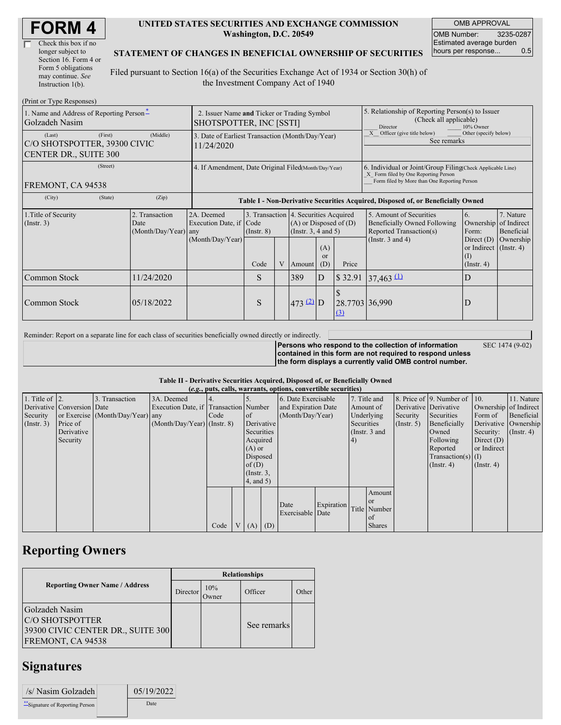| <b>FORM4</b> |
|--------------|
|--------------|

| Check this box if no  |
|-----------------------|
| longer subject to     |
| Section 16. Form 4 or |
| Form 5 obligations    |
| may continue. See     |
| Instruction 1(b).     |

 $(D_{\text{rint}} \text{ or } \text{T}$ yne  $D_{\ell}$ 

#### **UNITED STATES SECURITIES AND EXCHANGE COMMISSION Washington, D.C. 20549**

OMB APPROVAL OMB Number: 3235-0287 Estimated average burden hours per response... 0.5

#### **STATEMENT OF CHANGES IN BENEFICIAL OWNERSHIP OF SECURITIES**

Filed pursuant to Section 16(a) of the Securities Exchange Act of 1934 or Section 30(h) of the Investment Company Act of 1940

| $111111$ or $1 \gamma$ pc in exponses $\gamma$<br>1. Name and Address of Reporting Person-<br>Golzadeh Nasim | 2. Issuer Name and Ticker or Trading Symbol<br>SHOTSPOTTER, INC [SSTI] |                                                |                                                                |                                                                                  |   |                                                        | 5. Relationship of Reporting Person(s) to Issuer<br>(Check all applicable)<br>Director<br>10% Owner |                            |                                                                                                                                                    |                                                                         |                                        |  |
|--------------------------------------------------------------------------------------------------------------|------------------------------------------------------------------------|------------------------------------------------|----------------------------------------------------------------|----------------------------------------------------------------------------------|---|--------------------------------------------------------|-----------------------------------------------------------------------------------------------------|----------------------------|----------------------------------------------------------------------------------------------------------------------------------------------------|-------------------------------------------------------------------------|----------------------------------------|--|
| (First)<br>(Middle)<br>(Last)<br>C/O SHOTSPOTTER, 39300 CIVIC<br>CENTER DR., SUITE 300                       |                                                                        |                                                | 3. Date of Earliest Transaction (Month/Day/Year)<br>11/24/2020 |                                                                                  |   |                                                        |                                                                                                     |                            | Officer (give title below)<br>Other (specify below)<br>See remarks                                                                                 |                                                                         |                                        |  |
| (Street)<br>FREMONT, CA 94538                                                                                |                                                                        |                                                | 4. If Amendment, Date Original Filed(Month/Day/Year)           |                                                                                  |   |                                                        |                                                                                                     |                            | 6. Individual or Joint/Group Filing Check Applicable Line)<br>X Form filed by One Reporting Person<br>Form filed by More than One Reporting Person |                                                                         |                                        |  |
| (City)<br>(Zip)<br>(State)                                                                                   |                                                                        |                                                |                                                                | Table I - Non-Derivative Securities Acquired, Disposed of, or Beneficially Owned |   |                                                        |                                                                                                     |                            |                                                                                                                                                    |                                                                         |                                        |  |
| 1. Title of Security<br>(Insert. 3)                                                                          |                                                                        | 2. Transaction<br>Date<br>(Month/Day/Year) any | 2A. Deemed<br>Execution Date, if                               | 3. Transaction 4. Securities Acquired<br>Code<br>$($ Instr. $8)$                 |   | $(A)$ or Disposed of $(D)$<br>(Instr. $3, 4$ and $5$ ) |                                                                                                     |                            | 5. Amount of Securities<br>Beneficially Owned Following<br>Reported Transaction(s)                                                                 | 6.<br>Ownership<br>Form:                                                | 7. Nature<br>of Indirect<br>Beneficial |  |
|                                                                                                              |                                                                        |                                                | (Month/Day/Year)                                               | Code                                                                             | V | Amount                                                 | (A)<br><sub>or</sub><br>(D)                                                                         | Price                      | (Instr. $3$ and $4$ )                                                                                                                              | Direct $(D)$<br>or Indirect $($ Instr. 4 $)$<br>(I)<br>$($ Instr. 4 $)$ | Ownership                              |  |
| Common Stock                                                                                                 |                                                                        | 11/24/2020                                     |                                                                | S<br>389<br>ID                                                                   |   | \$32.91                                                | $37,463 \stackrel{\text{(1)}}{ }$                                                                   | D                          |                                                                                                                                                    |                                                                         |                                        |  |
| Common Stock                                                                                                 |                                                                        | 05/18/2022                                     |                                                                | S                                                                                |   | 473 (2) D                                              |                                                                                                     | 28.7703 36,990<br>$\Omega$ |                                                                                                                                                    | D                                                                       |                                        |  |

Reminder: Report on a separate line for each class of securities beneficially owned directly or indirectly.

SEC 1474 (9-02)

**Persons who respond to the collection of information contained in this form are not required to respond unless the form displays a currently valid OMB control number.**

**Table II - Derivative Securities Acquired, Disposed of, or Beneficially Owned**

|                        | (e.g., puts, calls, warrants, options, convertible securities) |                                  |                                       |      |  |                 |            |                     |            |            |               |                  |                              |                       |                      |           |                  |
|------------------------|----------------------------------------------------------------|----------------------------------|---------------------------------------|------|--|-----------------|------------|---------------------|------------|------------|---------------|------------------|------------------------------|-----------------------|----------------------|-----------|------------------|
| 1. Title of $\vert$ 2. |                                                                | 3. Transaction                   | 3A. Deemed                            |      |  |                 |            | 6. Date Exercisable |            |            | 7. Title and  |                  | 8. Price of 9. Number of 10. |                       | 11. Nature           |           |                  |
|                        | Derivative Conversion Date                                     |                                  | Execution Date, if Transaction Number |      |  |                 |            | and Expiration Date |            | Amount of  |               |                  | Derivative Derivative        | Ownership of Indirect |                      |           |                  |
| Security               |                                                                | or Exercise (Month/Day/Year) any |                                       | Code |  | of              |            | (Month/Day/Year)    | Underlying |            |               | Security         | Securities                   | Form of               | Beneficial           |           |                  |
| (Insert. 3)            | Price of                                                       |                                  | $(Month/Day/Year)$ (Instr. 8)         |      |  |                 | Derivative |                     |            | Securities |               | $($ Instr. 5 $)$ | Beneficially                 |                       | Derivative Ownership |           |                  |
|                        | Derivative                                                     |                                  |                                       |      |  | Securities      |            |                     |            |            |               |                  | (Instr. 3 and                |                       | Owned                | Security: | $($ Instr. 4 $)$ |
|                        | Security                                                       |                                  |                                       |      |  | Acquired        |            |                     |            | (4)        |               |                  | Following                    | Direct $(D)$          |                      |           |                  |
|                        |                                                                |                                  |                                       |      |  | $(A)$ or        |            |                     |            |            |               |                  | Reported                     | or Indirect           |                      |           |                  |
|                        |                                                                |                                  |                                       |      |  | Disposed        |            |                     |            |            |               |                  | $Transaction(s)$ (I)         |                       |                      |           |                  |
|                        |                                                                |                                  |                                       |      |  | of $(D)$        |            |                     |            |            |               |                  | $($ Instr. 4)                | $($ Instr. 4 $)$      |                      |           |                  |
|                        |                                                                |                                  |                                       |      |  | $($ Instr. $3,$ |            |                     |            |            |               |                  |                              |                       |                      |           |                  |
|                        |                                                                |                                  |                                       |      |  | 4, and 5)       |            |                     |            |            |               |                  |                              |                       |                      |           |                  |
|                        |                                                                |                                  |                                       |      |  |                 |            |                     |            |            | Amount        |                  |                              |                       |                      |           |                  |
|                        |                                                                |                                  |                                       |      |  |                 |            | Date                | Expiration |            | <b>or</b>     |                  |                              |                       |                      |           |                  |
|                        |                                                                |                                  |                                       |      |  |                 |            | Exercisable Date    |            |            | Title Number  |                  |                              |                       |                      |           |                  |
|                        |                                                                |                                  |                                       |      |  |                 |            |                     |            |            | of            |                  |                              |                       |                      |           |                  |
|                        |                                                                |                                  |                                       | Code |  |                 | $V(A)$ (D) |                     |            |            | <b>Shares</b> |                  |                              |                       |                      |           |                  |

### **Reporting Owners**

|                                                                                             | <b>Relationships</b> |              |             |       |  |  |  |  |
|---------------------------------------------------------------------------------------------|----------------------|--------------|-------------|-------|--|--|--|--|
| <b>Reporting Owner Name / Address</b>                                                       | Director             | 10%<br>Owner | Officer     | Other |  |  |  |  |
| Golzadeh Nasim<br>C/O SHOTSPOTTER<br>39300 CIVIC CENTER DR., SUITE 300<br>FREMONT, CA 94538 |                      |              | See remarks |       |  |  |  |  |

# **Signatures**

| /s/ Nasim Golzadeh               | 05/19/2022 |
|----------------------------------|------------|
| ** Signature of Reporting Person | Date       |